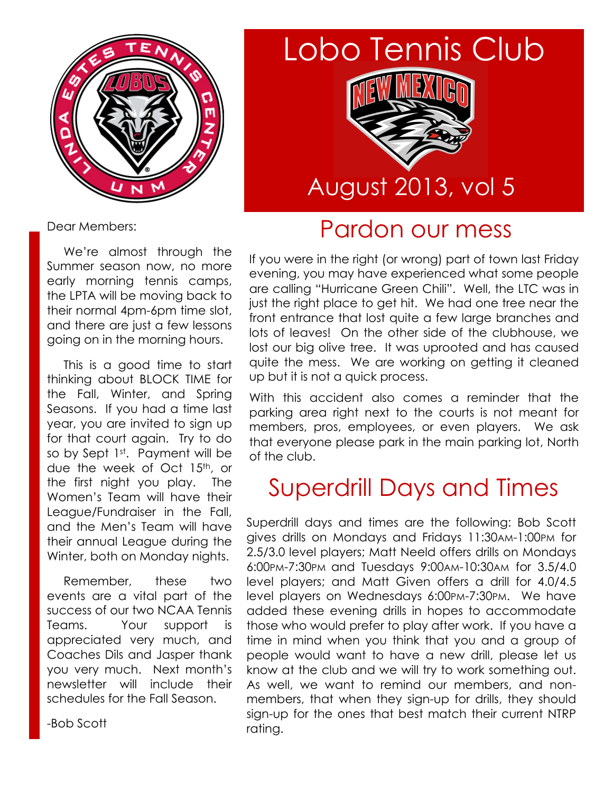

# Lobo Tennis Club



## August 2013, vol 5

#### Pardon our mess

Dear Members:

 We're almost through the Summer season now, no more early morning tennis camps, the LPTA will be moving back to their normal 4pm-6pm time slot, and there are just a few lessons going on in the morning hours.

 This is a good time to start thinking about BLOCK TIME for the Fall, Winter, and Spring Seasons. If you had a time last year, you are invited to sign up for that court again. Try to do so by Sept 1st. Payment will be due the week of Oct 15th, or the first night you play. The Women's Team will have their League/Fundraiser in the Fall, and the Men's Team will have their annual League during the Winter, both on Monday nights.

 Remember, these two events are a vital part of the success of our two NCAA Tennis Teams. Your support is appreciated very much, and Coaches Dils and Jasper thank you very much. Next month's newsletter will include their schedules for the Fall Season.

-Bob Scott

If you were in the right (or wrong) part of town last Friday evening, you may have experienced what some people are calling "Hurricane Green Chili". Well, the LTC was in just the right place to get hit. We had one tree near the front entrance that lost quite a few large branches and lots of leaves! On the other side of the clubhouse, we lost our big olive tree. It was uprooted and has caused quite the mess. We are working on getting it cleaned up but it is not a quick process.

With this accident also comes a reminder that the parking area right next to the courts is not meant for members, pros, employees, or even players. We ask that everyone please park in the main parking lot, North of the club.

## Superdrill Days and Times

Superdrill days and times are the following: Bob Scott gives drills on Mondays and Fridays 11:30AM-1:00PM for 2.5/3.0 level players; Matt Neeld offers drills on Mondays 6:00PM-7:30PM and Tuesdays 9:00AM-10:30AM for 3.5/4.0 level players; and Matt Given offers a drill for 4.0/4.5 level players on Wednesdays 6:00PM-7:30PM. We have added these evening drills in hopes to accommodate those who would prefer to play after work. If you have a time in mind when you think that you and a group of people would want to have a new drill, please let us know at the club and we will try to work something out. As well, we want to remind our members, and nonmembers, that when they sign-up for drills, they should sign-up for the ones that best match their current NTRP rating.